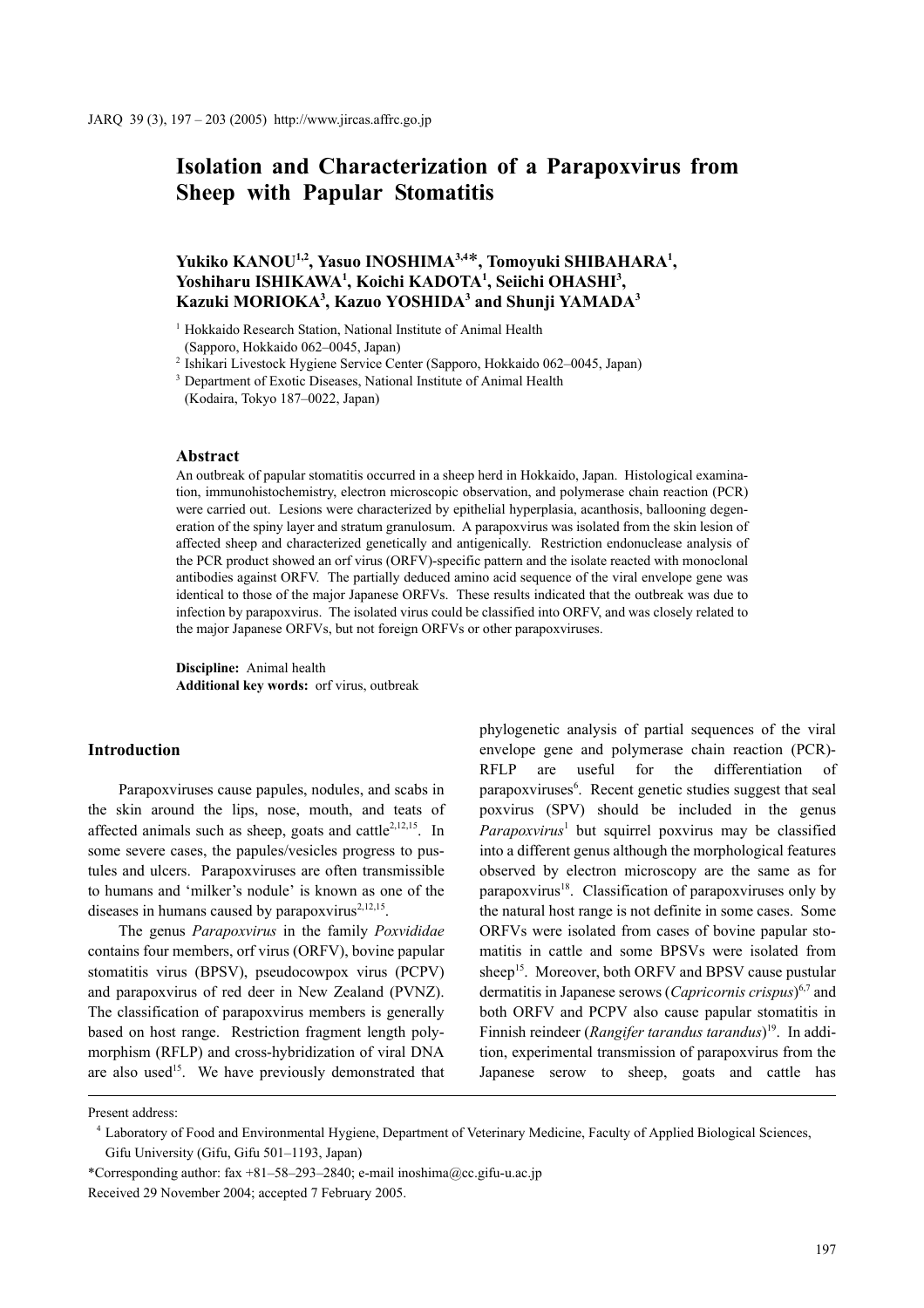# **Isolation and Characterization of a Parapoxvirus from Sheep with Papular Stomatitis**

## **Yukiko KANOU1,2, Yasuo INOSHIMA3,4**\***, Tomoyuki SHIBAHARA1 ,**  Yoshiharu ISHIKAWA<sup>1</sup>, Koichi KADOTA<sup>1</sup>, Seiichi OHASHI<sup>3</sup>, **Kazuki MORIOKA3 , Kazuo YOSHIDA3 and Shunji YAMADA3**

<sup>2</sup> Ishikari Livestock Hygiene Service Center (Sapporo, Hokkaido 062–0045, Japan)

#### **Abstract**

An outbreak of papular stomatitis occurred in a sheep herd in Hokkaido, Japan. Histological examination, immunohistochemistry, electron microscopic observation, and polymerase chain reaction (PCR) were carried out. Lesions were characterized by epithelial hyperplasia, acanthosis, ballooning degeneration of the spiny layer and stratum granulosum. A parapoxvirus was isolated from the skin lesion of affected sheep and characterized genetically and antigenically. Restriction endonuclease analysis of the PCR product showed an orf virus (ORFV)-specific pattern and the isolate reacted with monoclonal antibodies against ORFV. The partially deduced amino acid sequence of the viral envelope gene was identical to those of the major Japanese ORFVs. These results indicated that the outbreak was due to infection by parapoxvirus. The isolated virus could be classified into ORFV, and was closely related to the major Japanese ORFVs, but not foreign ORFVs or other parapoxviruses.

**Discipline:** Animal health **Additional key words:** orf virus, outbreak

### **Introduction**

Parapoxviruses cause papules, nodules, and scabs in the skin around the lips, nose, mouth, and teats of affected animals such as sheep, goats and cattle<sup>2,12,15</sup>. In some severe cases, the papules/vesicles progress to pustules and ulcers. Parapoxviruses are often transmissible to humans and 'milker's nodule' is known as one of the diseases in humans caused by parapoxvirus $2,12,15$ .

The genus *Parapoxvirus* in the family *Poxvididae* contains four members, orf virus (ORFV), bovine papular stomatitis virus (BPSV), pseudocowpox virus (PCPV) and parapoxvirus of red deer in New Zealand (PVNZ). The classification of parapoxvirus members is generally based on host range. Restriction fragment length polymorphism (RFLP) and cross-hybridization of viral DNA are also used<sup>15</sup>. We have previously demonstrated that phylogenetic analysis of partial sequences of the viral envelope gene and polymerase chain reaction (PCR)- RFLP are useful for the differentiation of parapoxviruses<sup>6</sup>. Recent genetic studies suggest that seal poxvirus (SPV) should be included in the genus Parapoxvirus<sup>1</sup> but squirrel poxvirus may be classified into a different genus although the morphological features observed by electron microscopy are the same as for parapoxvirus $18$ . Classification of parapoxviruses only by the natural host range is not definite in some cases. Some ORFVs were isolated from cases of bovine papular stomatitis in cattle and some BPSVs were isolated from sheep<sup>15</sup>. Moreover, both ORFV and BPSV cause pustular dermatitis in Japanese serows (*Capricornis crispus*) 6,7 and both ORFV and PCPV also cause papular stomatitis in Finnish reindeer (*Rangifer tarandus tarandus*) 19. In addition, experimental transmission of parapoxvirus from the Japanese serow to sheep, goats and cattle has

<sup>&</sup>lt;sup>1</sup> Hokkaido Research Station, National Institute of Animal Health (Sapporo, Hokkaido 062–0045, Japan)

<sup>&</sup>lt;sup>3</sup> Department of Exotic Diseases, National Institute of Animal Health (Kodaira, Tokyo 187–0022, Japan)

Present address:

<sup>4</sup> Laboratory of Food and Environmental Hygiene, Department of Veterinary Medicine, Faculty of Applied Biological Sciences, Gifu University (Gifu, Gifu 501–1193, Japan)

<sup>\*</sup>Corresponding author: fax +81–58–293–2840; e-mail inoshima@cc.gifu-u.ac.jp Received 29 November 2004; accepted 7 February 2005.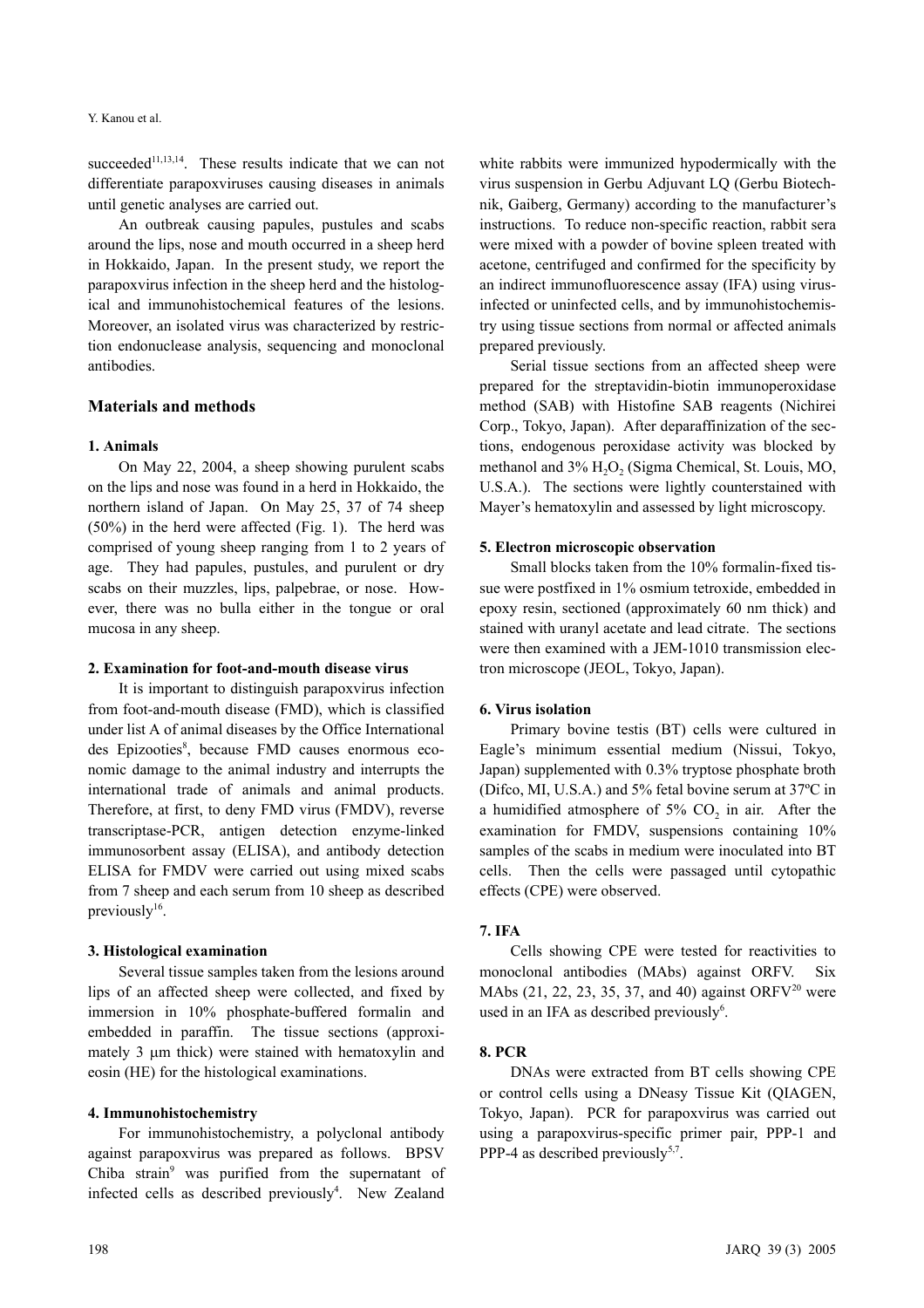succeeded $11,13,14$ . These results indicate that we can not differentiate parapoxviruses causing diseases in animals until genetic analyses are carried out.

An outbreak causing papules, pustules and scabs around the lips, nose and mouth occurred in a sheep herd in Hokkaido, Japan. In the present study, we report the parapoxvirus infection in the sheep herd and the histological and immunohistochemical features of the lesions. Moreover, an isolated virus was characterized by restriction endonuclease analysis, sequencing and monoclonal antibodies.

## **Materials and methods**

#### **1. Animals**

On May 22, 2004, a sheep showing purulent scabs on the lips and nose was found in a herd in Hokkaido, the northern island of Japan. On May 25, 37 of 74 sheep (50%) in the herd were affected (Fig. 1). The herd was comprised of young sheep ranging from 1 to 2 years of age. They had papules, pustules, and purulent or dry scabs on their muzzles, lips, palpebrae, or nose. However, there was no bulla either in the tongue or oral mucosa in any sheep.

#### **2. Examination for foot-and-mouth disease virus**

It is important to distinguish parapoxvirus infection from foot-and-mouth disease (FMD), which is classified under list A of animal diseases by the Office International des Epizooties<sup>8</sup>, because FMD causes enormous economic damage to the animal industry and interrupts the international trade of animals and animal products. Therefore, at first, to deny FMD virus (FMDV), reverse transcriptase-PCR, antigen detection enzyme-linked immunosorbent assay (ELISA), and antibody detection ELISA for FMDV were carried out using mixed scabs from 7 sheep and each serum from 10 sheep as described previously $16$ .

#### **3. Histological examination**

Several tissue samples taken from the lesions around lips of an affected sheep were collected, and fixed by immersion in 10% phosphate-buffered formalin and embedded in paraffin. The tissue sections (approximately 3  $\mu$ m thick) were stained with hematoxylin and eosin (HE) for the histological examinations.

#### **4. Immunohistochemistry**

For immunohistochemistry, a polyclonal antibody against parapoxvirus was prepared as follows. BPSV Chiba strain<sup>9</sup> was purified from the supernatant of infected cells as described previously<sup>4</sup>. New Zealand

white rabbits were immunized hypodermically with the virus suspension in Gerbu Adjuvant LQ (Gerbu Biotechnik, Gaiberg, Germany) according to the manufacturer's instructions. To reduce non-specific reaction, rabbit sera were mixed with a powder of bovine spleen treated with acetone, centrifuged and confirmed for the specificity by an indirect immunofluorescence assay (IFA) using virusinfected or uninfected cells, and by immunohistochemistry using tissue sections from normal or affected animals prepared previously. Serial tissue sections from an affected sheep were

prepared for the streptavidin-biotin immunoperoxidase method (SAB) with Histofine SAB reagents (Nichirei Corp., Tokyo, Japan). After deparaffinization of the sections, endogenous peroxidase activity was blocked by methanol and 3% H<sub>2</sub>O<sub>2</sub> (Sigma Chemical, St. Louis, MO, U.S.A.). The sections were lightly counterstained with Mayer's hematoxylin and assessed by light microscopy.

#### **5. Electron microscopic observation**

Small blocks taken from the 10% formalin-fixed tissue were postfixed in 1% osmium tetroxide, embedded in epoxy resin, sectioned (approximately 60 nm thick) and stained with uranyl acetate and lead citrate. The sections were then examined with a JEM-1010 transmission electron microscope (JEOL, Tokyo, Japan).

#### **6. Virus isolation**

Primary bovine testis (BT) cells were cultured in Eagle's minimum essential medium (Nissui, Tokyo, Japan) supplemented with 0.3% tryptose phosphate broth (Difco, MI, U.S.A.) and 5% fetal bovine serum at 37ºC in a humidified atmosphere of  $5\%$  CO<sub>2</sub> in air. After the examination for FMDV, suspensions containing 10% samples of the scabs in medium were inoculated into BT cells. Then the cells were passaged until cytopathic effects (CPE) were observed.

#### **7. IFA**

Cells showing CPE were tested for reactivities to monoclonal antibodies (MAbs) against ORFV. MAbs (21, 22, 23, 35, 37, and 40) against ORFV<sup>20</sup> were used in an IFA as described previously<sup>6</sup>.

#### **8. PCR**

DNAs were extracted from BT cells showing CPE or control cells using a DNeasy Tissue Kit (QIAGEN, Tokyo, Japan). PCR for parapoxvirus was carried out using a parapoxvirus-specific primer pair, PPP-1 and PPP-4 as described previously<sup>5,7</sup>.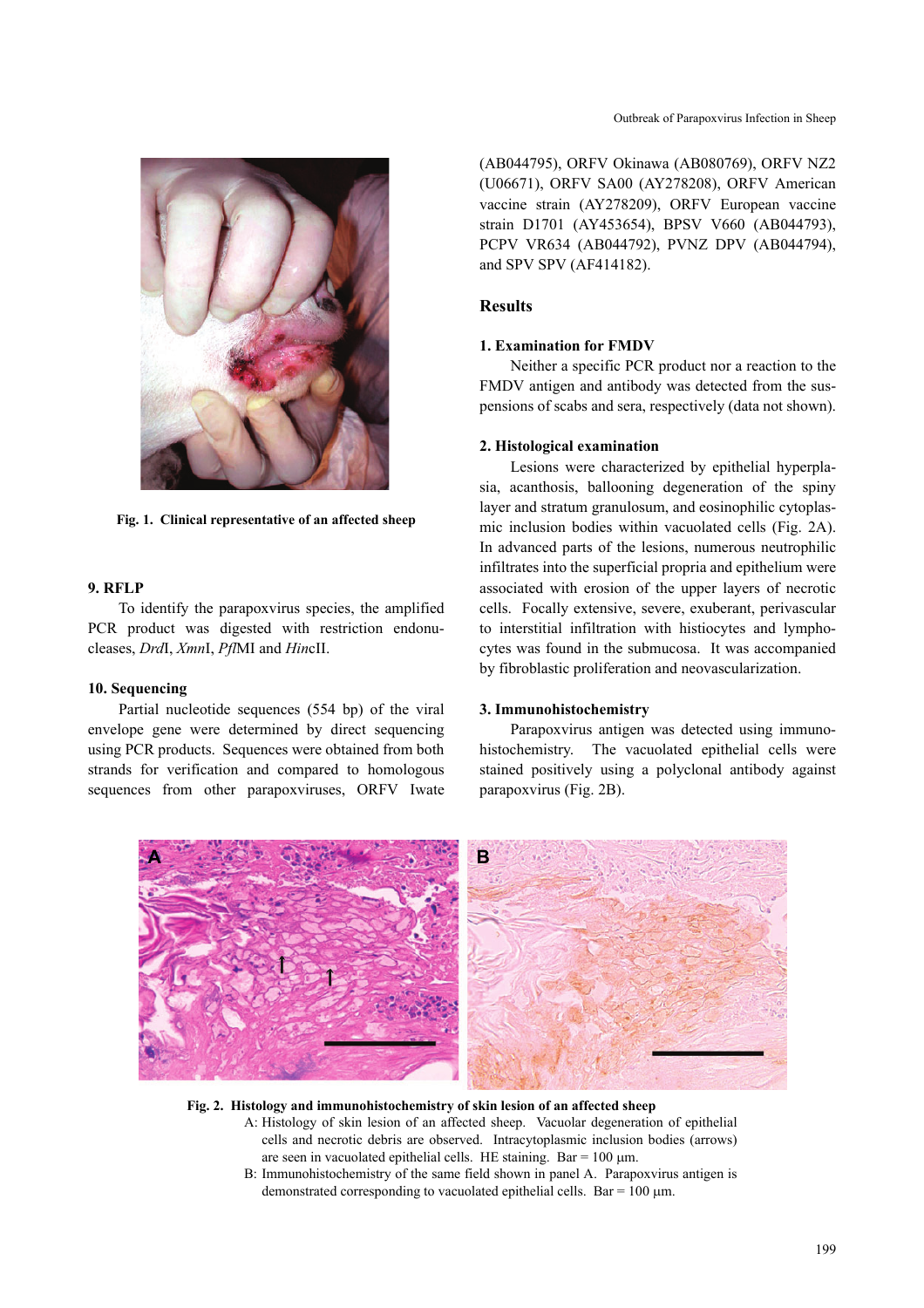

**Fig. 1. Clinical representative of an affected sheep**

#### **9. RFLP**

To identify the parapoxvirus species, the amplified PCR product was digested with restriction endonucleases, *Drd*I, *Xmn*I, *Pfl*MI and *Hin*cII.

#### **10. Sequencing**

Partial nucleotide sequences (554 bp) of the viral envelope gene were determined by direct sequencing using PCR products. Sequences were obtained from both strands for verification and compared to homologous sequences from other parapoxviruses, ORFV Iwate (AB044795), ORFV Okinawa (AB080769), ORFV NZ2 (U06671), ORFV SA00 (AY278208), ORFV American vaccine strain (AY278209), ORFV European vaccine strain D1701 (AY453654), BPSV V660 (AB044793), PCPV VR634 (AB044792), PVNZ DPV (AB044794), and SPV SPV (AF414182).

## **Results**

#### **1. Examination for FMDV**

Neither a specific PCR product nor a reaction to the FMDV antigen and antibody was detected from the suspensions of scabs and sera, respectively (data not shown).

#### **2. Histological examination**

Lesions were characterized by epithelial hyperplasia, acanthosis, ballooning degeneration of the spiny layer and stratum granulosum, and eosinophilic cytoplasmic inclusion bodies within vacuolated cells (Fig. 2A). In advanced parts of the lesions, numerous neutrophilic infiltrates into the superficial propria and epithelium were associated with erosion of the upper layers of necrotic cells. Focally extensive, severe, exuberant, perivascular to interstitial infiltration with histiocytes and lymphocytes was found in the submucosa. It was accompanied by fibroblastic proliferation and neovascularization.

#### **3. Immunohistochemistry**

Parapoxvirus antigen was detected using immunohistochemistry. The vacuolated epithelial cells were stained positively using a polyclonal antibody against parapoxvirus (Fig. 2B).



#### **Fig. 2. Histology and immunohistochemistry of skin lesion of an affected sheep**

- A: Histology of skin lesion of an affected sheep. Vacuolar degeneration of epithelial cells and necrotic debris are observed. Intracytoplasmic inclusion bodies (arrows) are seen in vacuolated epithelial cells. HE staining. Bar =  $100 \mu m$ .
- B: Immunohistochemistry of the same field shown in panel A. Parapoxvirus antigen is demonstrated corresponding to vacuolated epithelial cells. Bar =  $100 \mu m$ .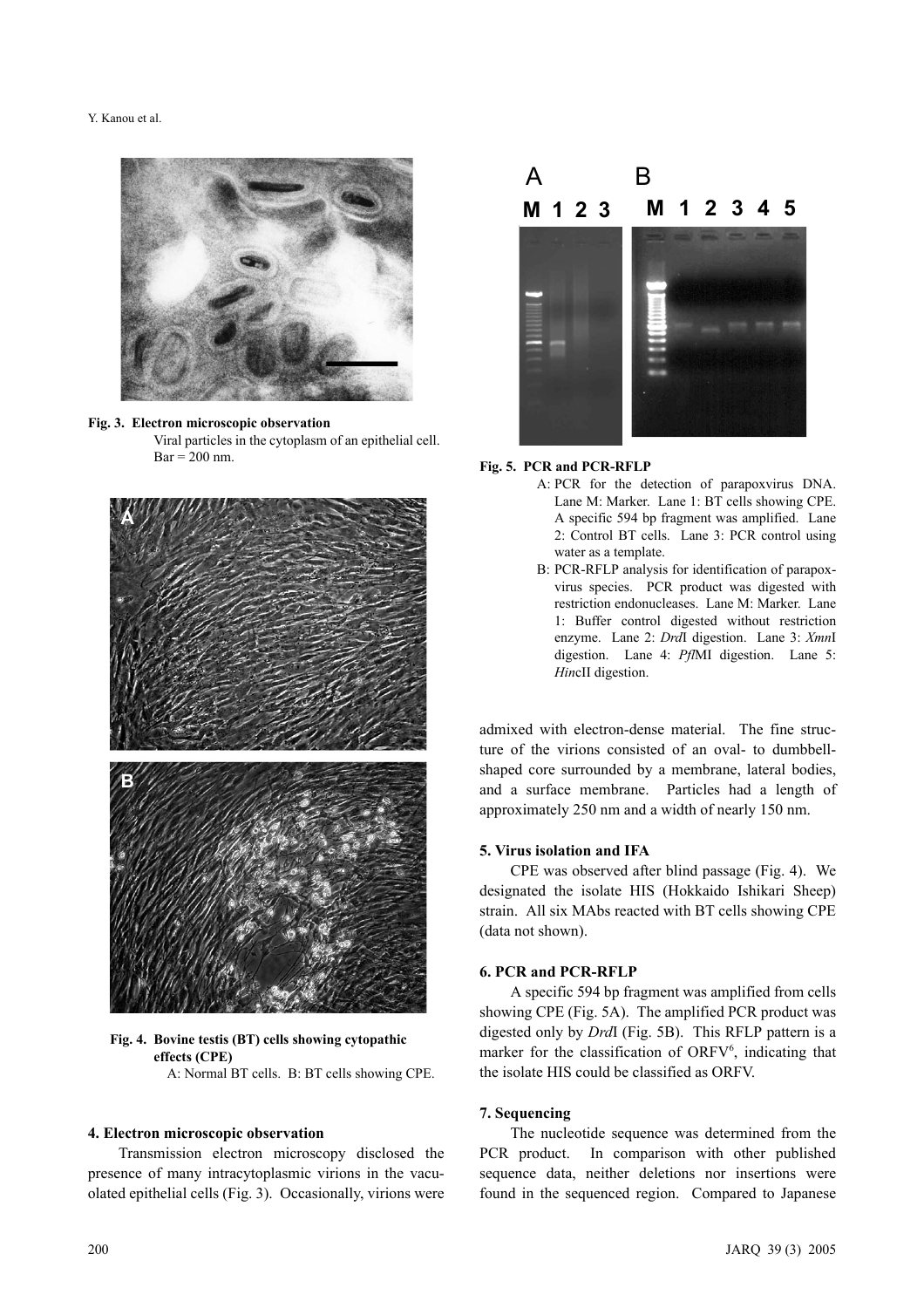





**Fig. 4. Bovine testis (BT) cells showing cytopathic effects (CPE)** A: Normal BT cells. B: BT cells showing CPE.

#### **4. Electron microscopic observation**

Transmission electron microscopy disclosed the presence of many intracytoplasmic virions in the vacuolated epithelial cells (Fig. 3). Occasionally, virions were





- A: PCR for the detection of parapoxvirus DNA. Lane M: Marker. Lane 1: BT cells showing CPE. A specific 594 bp fragment was amplified. Lane 2: Control BT cells. Lane 3: PCR control using water as a template.
- B: PCR-RFLP analysis for identification of parapoxvirus species. PCR product was digested with restriction endonucleases. Lane M: Marker. Lane 1: Buffer control digested without restriction enzyme. Lane 2: *Drd*I digestion. Lane 3: *Xmn*I digestion. Lane 4: *Pfl*MI digestion. Lane 5: *Hin*cII digestion.

admixed with electron-dense material. The fine structure of the virions consisted of an oval- to dumbbellshaped core surrounded by a membrane, lateral bodies, and a surface membrane. Particles had a length of approximately 250 nm and a width of nearly 150 nm.

### **5. Virus isolation and IFA**

CPE was observed after blind passage (Fig. 4). We designated the isolate HIS (Hokkaido Ishikari Sheep) strain. All six MAbs reacted with BT cells showing CPE (data not shown).

#### **6. PCR and PCR-RFLP**

A specific 594 bp fragment was amplified from cells showing CPE (Fig. 5A). The amplified PCR product was digested only by *Drd*I (Fig. 5B). This RFLP pattern is a marker for the classification of ORFV<sup>6</sup>, indicating that the isolate HIS could be classified as ORFV.

#### **7. Sequencing**

The nucleotide sequence was determined from the PCR product. In comparison with other published sequence data, neither deletions nor insertions were found in the sequenced region. Compared to Japanese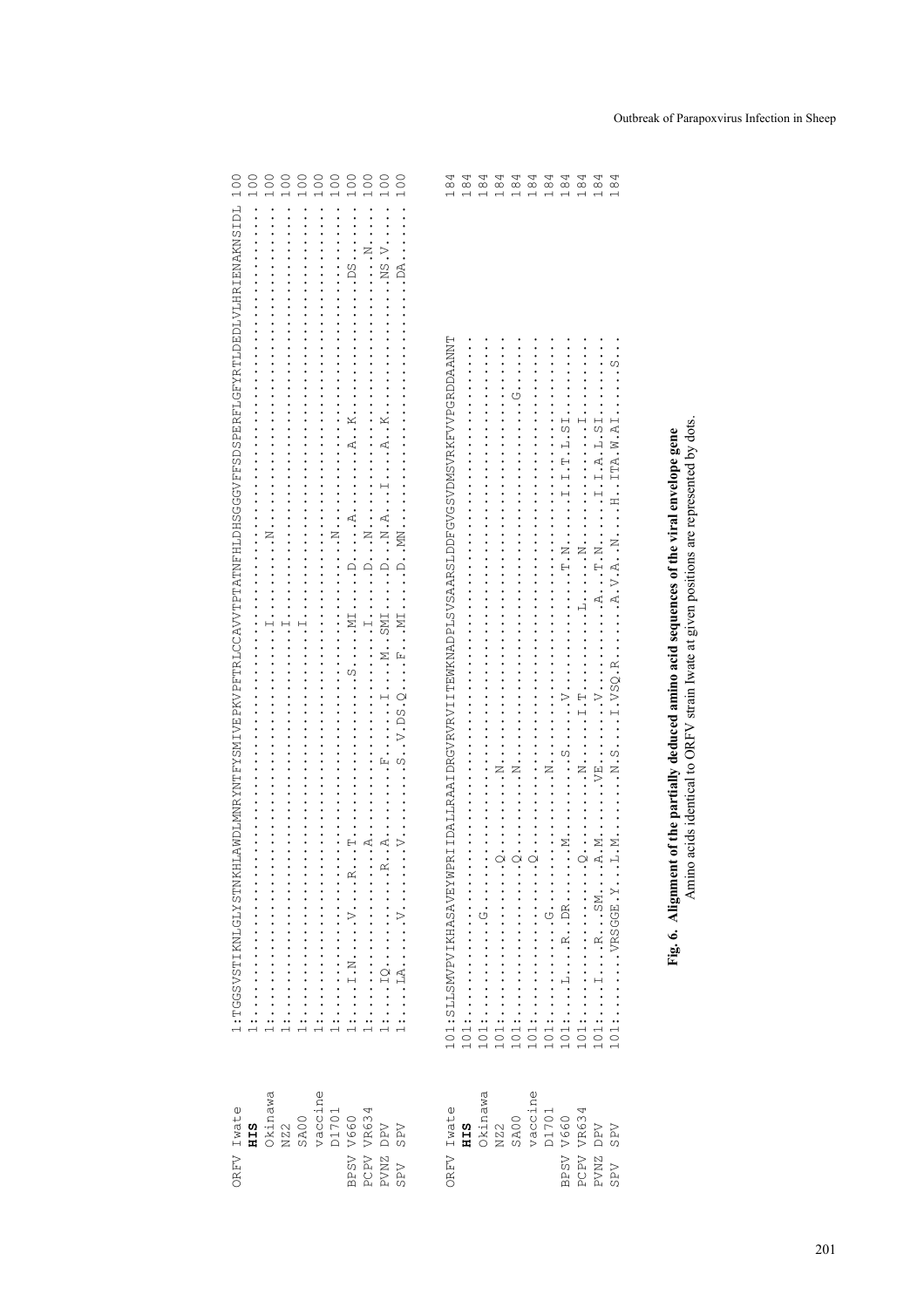| OREV Iwate               | 1LANDLMNRYNTFYSMIVEPKVPFTRLCCAVVTPTATNFHLDHSGGVFFSDSPERFLGFYRTLDEDLVLHRIENAKNSIDL<br>1:TGSVSTIKNLGLYSTNKF                                                                                            | 100           |
|--------------------------|------------------------------------------------------------------------------------------------------------------------------------------------------------------------------------------------------|---------------|
| <b>HIS</b>               |                                                                                                                                                                                                      | 100           |
| Okinawa                  |                                                                                                                                                                                                      | 100           |
| NZ2                      | .                                                                                                                                                                                                    | 100           |
| SAOO                     |                                                                                                                                                                                                      | 100           |
| vaccine                  |                                                                                                                                                                                                      | 100           |
| D1701                    | $\cdot \cdot \cdot \cdot \cdot \cdot \cdot$                                                                                                                                                          | 100           |
| BPSV V660                | $\ldots$ ps $\ldots$<br>$\ldots$ $\ldots$ $\ldots$ $\ldots$ $\ldots$ $\ldots$ $\ldots$ $\ldots$ $\ldots$ $\ldots$ $\ldots$ $\ldots$ $\ldots$ $\ldots$ $\ldots$ $\ldots$ $\ldots$                     | 100           |
| PCPV VR634               | $\frac{1}{2}$<br>$\ddot{A} \ddot{A} \ddot{A}$<br>                                                                                                                                                    | 100           |
| PVNZ DPV                 | $\ldots$ NS $\ldots$                                                                                                                                                                                 | 100           |
| <b>SPV</b><br>SPV        | $\ddot{\cdot}$ .<br>$\ldots$ . $\ldots$ $\ldots$ $\ldots$ $\ldots$                                                                                                                                   | 100           |
|                          |                                                                                                                                                                                                      |               |
| OREV Iwate               | PRIIDALLRAA IDRGVRVRVIITTEWKNADPLSVSAARSLDDFGVGSVDMSVRKFVVPGRDDAANNT<br>101:SLLSMVPVIKHASAVEYWP                                                                                                      | $\frac{8}{1}$ |
| <b>HIS</b>               | $101: \ldots \ldots \ldots 1$                                                                                                                                                                        |               |
| Okinawa                  | 101:                                                                                                                                                                                                 |               |
| NZ2                      | $\frac{1}{2}$<br>$\vdots$<br>101:                                                                                                                                                                    | 184<br>1      |
| SAOO                     | $\vdots$<br><br>101:                                                                                                                                                                                 | 1.84          |
| vaccine                  | $\dot{\circ}$<br>101:                                                                                                                                                                                | 184<br>1      |
| D1701                    | $\frac{1}{1}$ : $\frac{1}{1}$ : $\frac{1}{1}$ : $\frac{1}{1}$ : $\frac{1}{1}$ : $\frac{1}{1}$ : $\frac{1}{1}$ : $\frac{1}{1}$ : $\frac{1}{1}$ : $\frac{1}{1}$<br>$101$ :                             | 184           |
| BPSV V660                | $\cdots$ $\cdots$ $\cdots$ $\cdots$ $\cdots$ $\cdots$<br>$\ldots_{N}$ .<br>$\ldots$ . $\ldots$ . $\ldots$ . $\ldots$ . DR. $\ldots$<br>$1011$ .                                                      | 184<br>1      |
| PCPV VR634               | .<br>101:                                                                                                                                                                                            | 184<br>1      |
| PVNZ DPV                 | $\ldots$ $\ldots$ $\ldots$ $\ldots$ $\ldots$ $\ldots$<br>$\cdot$ , $\cdot$ , $\cdot$ , $\cdot$ , $\cdot$ , $\cdot$ , $\cdot$ , $\cdot$ , $\cdot$<br>$\cdot$ . The $\cdot$<br>.A.A. M.<br>$101:1$ RSM | 184           |
| <b>SPV</b><br><b>NdS</b> | 101:VRSGGE.Y                                                                                                                                                                                         | $\frac{a}{4}$ |
|                          |                                                                                                                                                                                                      |               |

Fig. 6. Alignment of the partially deduced amino acid sequences of the viral envelope gene<br>Amino acids identical to ORFV strain Iwate at given positions are represented by dots.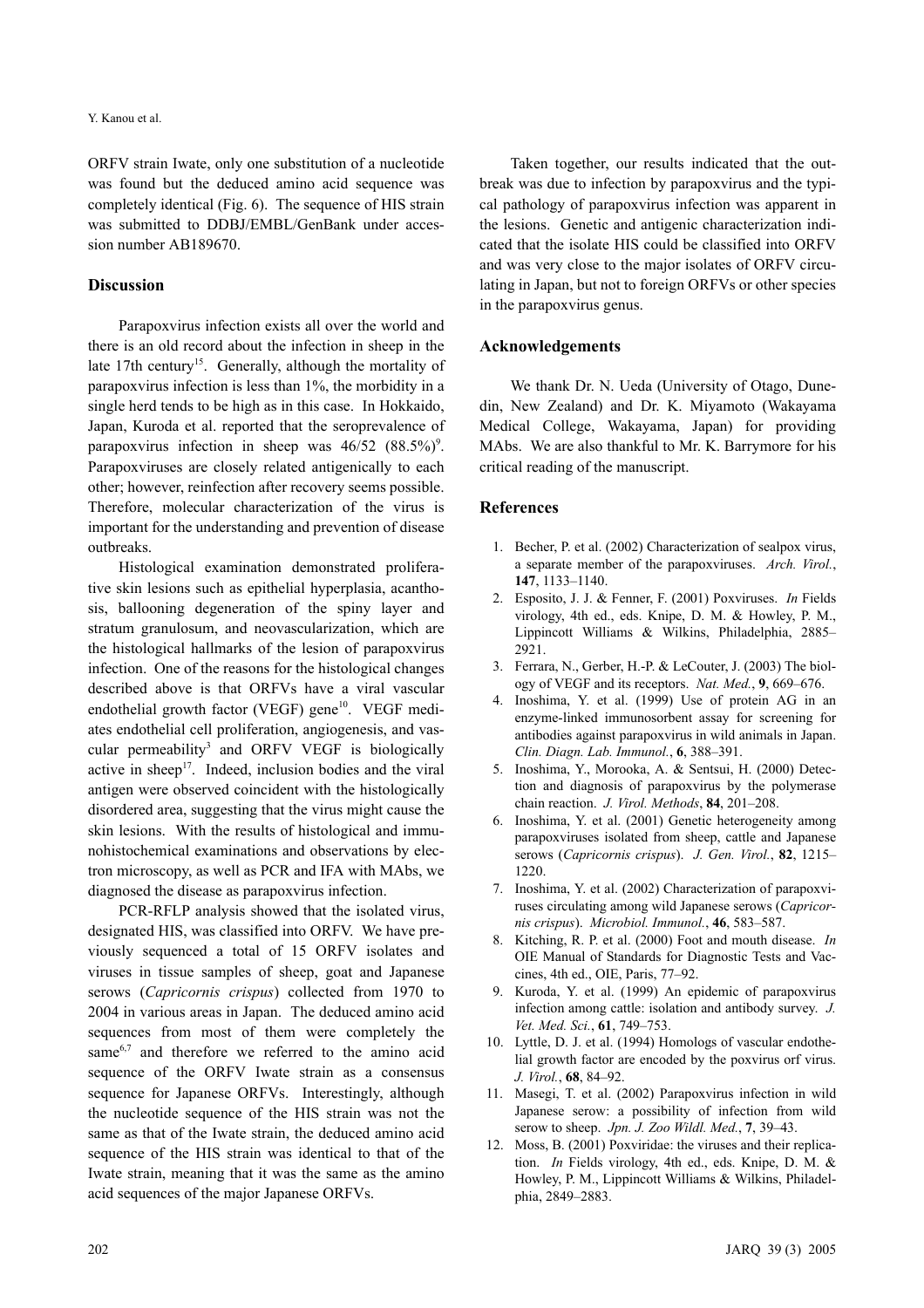Y. Kanou et al.

ORFV strain Iwate, only one substitution of a nucleotide was found but the deduced amino acid sequence was completely identical (Fig. 6). The sequence of HIS strain was submitted to DDBJ/EMBL/GenBank under accession number AB189670.

### **Discussion**

Parapoxvirus infection exists all over the world and there is an old record about the infection in sheep in the late 17th century<sup>15</sup>. Generally, although the mortality of parapoxvirus infection is less than 1%, the morbidity in a single herd tends to be high as in this case. In Hokkaido, Japan, Kuroda et al. reported that the seroprevalence of parapoxvirus infection in sheep was  $46/52$   $(88.5\%)^9$ . Parapoxviruses are closely related antigenically to each other; however, reinfection after recovery seems possible. Therefore, molecular characterization of the virus is important for the understanding and prevention of disease outbreaks.

Histological examination demonstrated proliferative skin lesions such as epithelial hyperplasia, acanthosis, ballooning degeneration of the spiny layer and stratum granulosum, and neovascularization, which are the histological hallmarks of the lesion of parapoxvirus infection. One of the reasons for the histological changes described above is that ORFVs have a viral vascular endothelial growth factor (VEGF) gene<sup>10</sup>. VEGF mediates endothelial cell proliferation, angiogenesis, and vascular permeability<sup>3</sup> and ORFV VEGF is biologically active in sheep<sup>17</sup>. Indeed, inclusion bodies and the viral antigen were observed coincident with the histologically disordered area, suggesting that the virus might cause the skin lesions. With the results of histological and immunohistochemical examinations and observations by electron microscopy, as well as PCR and IFA with MAbs, we diagnosed the disease as parapoxvirus infection.

PCR-RFLP analysis showed that the isolated virus, designated HIS, was classified into ORFV. We have previously sequenced a total of 15 ORFV isolates and viruses in tissue samples of sheep, goat and Japanese serows (*Capricornis crispus*) collected from 1970 to 2004 in various areas in Japan. The deduced amino acid sequences from most of them were completely the same<sup>6,7</sup> and therefore we referred to the amino acid sequence of the ORFV Iwate strain as a consensus sequence for Japanese ORFVs. Interestingly, although the nucleotide sequence of the HIS strain was not the same as that of the Iwate strain, the deduced amino acid sequence of the HIS strain was identical to that of the Iwate strain, meaning that it was the same as the amino acid sequences of the major Japanese ORFVs.

Taken together, our results indicated that the outbreak was due to infection by parapoxvirus and the typical pathology of parapoxvirus infection was apparent in the lesions. Genetic and antigenic characterization indicated that the isolate HIS could be classified into ORFV and was very close to the major isolates of ORFV circulating in Japan, but not to foreign ORFVs or other species in the parapoxvirus genus.

## **Acknowledgements**

We thank Dr. N. Ueda (University of Otago, Dunedin, New Zealand) and Dr. K. Miyamoto (Wakayama Medical College, Wakayama, Japan) for providing MAbs. We are also thankful to Mr. K. Barrymore for his critical reading of the manuscript.

#### **References**

- 1. Becher, P. et al. (2002) Characterization of sealpox virus, a separate member of the parapoxviruses. *Arch. Virol.*, **147**, 1133–1140.
- 2. Esposito, J. J. & Fenner, F. (2001) Poxviruses. *In* Fields virology, 4th ed., eds. Knipe, D. M. & Howley, P. M., Lippincott Williams & Wilkins, Philadelphia, 2885– 2921.
- 3. Ferrara, N., Gerber, H.-P. & LeCouter, J. (2003) The biology of VEGF and its receptors. *Nat. Med.*, **9**, 669–676.
- 4. Inoshima, Y. et al. (1999) Use of protein AG in an enzyme-linked immunosorbent assay for screening for antibodies against parapoxvirus in wild animals in Japan. *Clin. Diagn. Lab. Immunol.*, **6**, 388–391.
- 5. Inoshima, Y., Morooka, A. & Sentsui, H. (2000) Detection and diagnosis of parapoxvirus by the polymerase chain reaction. *J. Virol. Methods*, **84**, 201–208.
- 6. Inoshima, Y. et al. (2001) Genetic heterogeneity among parapoxviruses isolated from sheep, cattle and Japanese serows (*Capricornis crispus*). *J. Gen. Virol.*, **82**, 1215– 1220.
- 7. Inoshima, Y. et al. (2002) Characterization of parapoxviruses circulating among wild Japanese serows (*Capricornis crispus*). *Microbiol. Immunol.*, **46**, 583–587.
- 8. Kitching, R. P. et al. (2000) Foot and mouth disease. *In* OIE Manual of Standards for Diagnostic Tests and Vaccines, 4th ed., OIE, Paris, 77–92.
- 9. Kuroda, Y. et al. (1999) An epidemic of parapoxvirus infection among cattle: isolation and antibody survey. *J. Vet. Med. Sci.*, **61**, 749–753.
- 10. Lyttle, D. J. et al. (1994) Homologs of vascular endothelial growth factor are encoded by the poxvirus orf virus. *J. Virol.*, **68**, 84–92.
- 11. Masegi, T. et al. (2002) Parapoxvirus infection in wild Japanese serow: a possibility of infection from wild serow to sheep. *Jpn. J. Zoo Wildl. Med.*, **7**, 39–43.
- 12. Moss, B. (2001) Poxviridae: the viruses and their replication. *In* Fields virology, 4th ed., eds. Knipe, D. M. & Howley, P. M., Lippincott Williams & Wilkins, Philadelphia, 2849–2883.